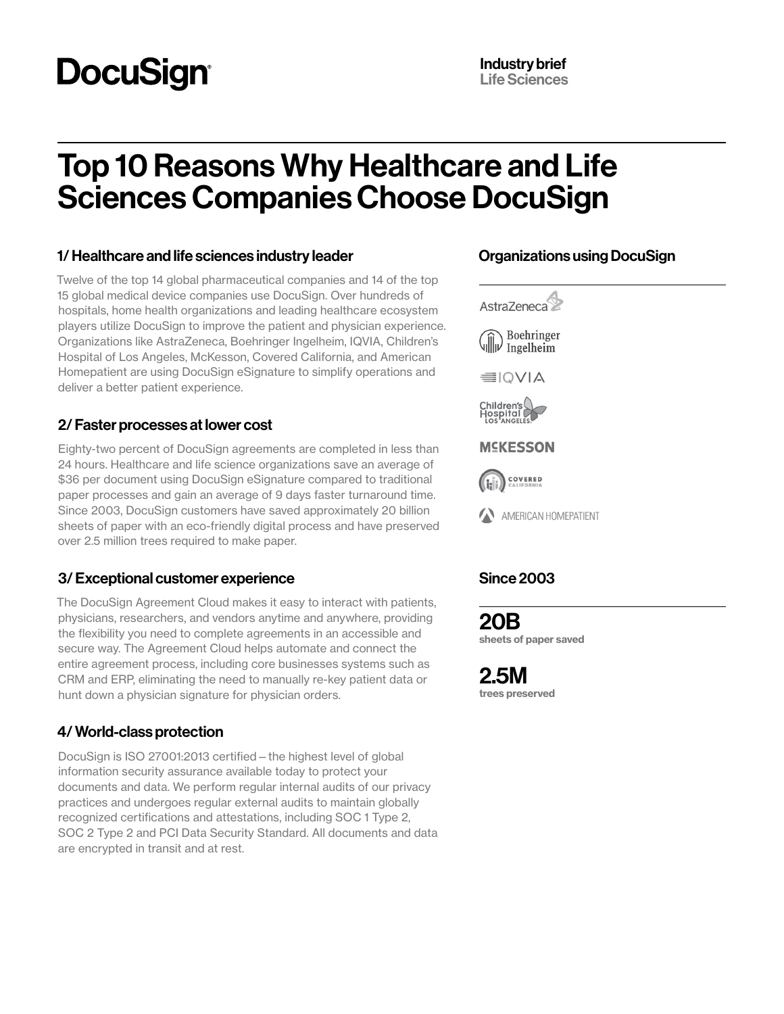# **DocuSign®**

## Top 10 Reasons Why Healthcare and Life Sciences Companies Choose DocuSign

#### 1/ Healthcare and life sciences industry leader

Twelve of the top 14 global pharmaceutical companies and 14 of the top 15 global medical device companies use DocuSign. Over hundreds of hospitals, home health organizations and leading healthcare ecosystem players utilize DocuSign to improve the patient and physician experience. Organizations like AstraZeneca, Boehringer Ingelheim, IQVIA, Children's Hospital of Los Angeles, McKesson, Covered California, and American Homepatient are using DocuSign eSignature to simplify operations and deliver a better patient experience.

#### 2/ Faster processes at lower cost

Eighty-two percent of DocuSign agreements are completed in less than 24 hours. Healthcare and life science organizations save an average of \$36 per document using DocuSign eSignature compared to traditional paper processes and gain an average of 9 days faster turnaround time. Since 2003, DocuSign customers have saved approximately 20 billion sheets of paper with an eco-friendly digital process and have preserved over 2.5 million trees required to make paper.

#### 3/ Exceptional customer experience

The DocuSign Agreement Cloud makes it easy to interact with patients, physicians, researchers, and vendors anytime and anywhere, providing the flexibility you need to complete agreements in an accessible and secure way. The Agreement Cloud helps automate and connect the entire agreement process, including core businesses systems such as CRM and ERP, eliminating the need to manually re-key patient data or hunt down a physician signature for physician orders.

#### 4/ World-class protection

DocuSign is ISO 27001:2013 certified—the highest level of global information security assurance available today to protect your documents and data. We perform regular internal audits of our privacy practices and undergoes regular external audits to maintain globally recognized certifications and attestations, including SOC 1 Type 2, SOC 2 Type 2 and PCI Data Security Standard. All documents and data are encrypted in transit and at rest.

#### Organizations using DocuSign



AMERICAN HOMEPATIENT

### Since 2003

20B sheets of paper saved

2.5M trees preserved